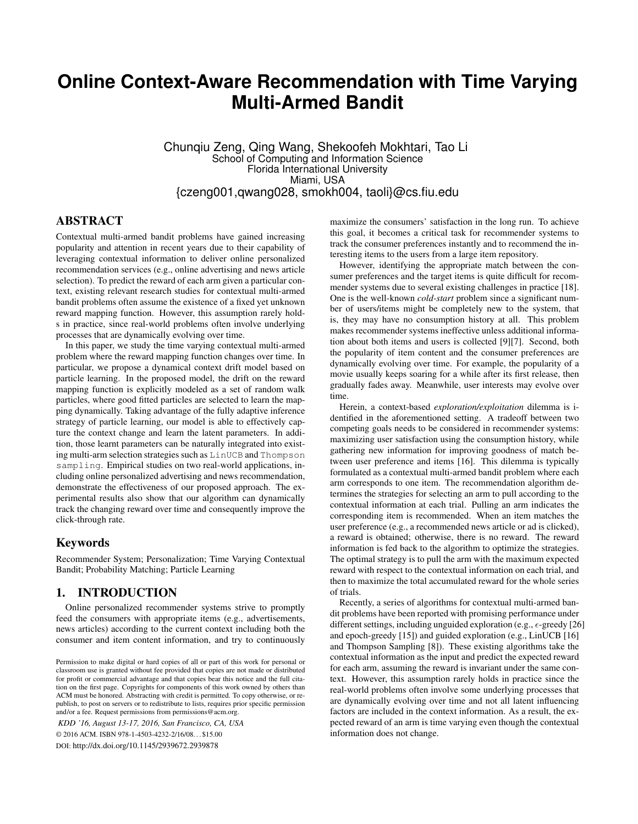# **Online Context-Aware Recommendation with Time Varying Multi-Armed Bandit**

Chunqiu Zeng, Qing Wang, Shekoofeh Mokhtari, Tao Li School of Computing and Information Science Florida International University Miami, USA {czeng001,qwang028, smokh004, taoli}@cs.fiu.edu

# ABSTRACT

Contextual multi-armed bandit problems have gained increasing popularity and attention in recent years due to their capability of leveraging contextual information to deliver online personalized recommendation services (e.g., online advertising and news article selection). To predict the reward of each arm given a particular context, existing relevant research studies for contextual multi-armed bandit problems often assume the existence of a fixed yet unknown reward mapping function. However, this assumption rarely holds in practice, since real-world problems often involve underlying processes that are dynamically evolving over time.

In this paper, we study the time varying contextual multi-armed problem where the reward mapping function changes over time. In particular, we propose a dynamical context drift model based on particle learning. In the proposed model, the drift on the reward mapping function is explicitly modeled as a set of random walk particles, where good fitted particles are selected to learn the mapping dynamically. Taking advantage of the fully adaptive inference strategy of particle learning, our model is able to effectively capture the context change and learn the latent parameters. In addition, those learnt parameters can be naturally integrated into existing multi-arm selection strategies such as LinUCB and Thompson sampling. Empirical studies on two real-world applications, including online personalized advertising and news recommendation, demonstrate the effectiveness of our proposed approach. The experimental results also show that our algorithm can dynamically track the changing reward over time and consequently improve the click-through rate.

## Keywords

Recommender System; Personalization; Time Varying Contextual Bandit; Probability Matching; Particle Learning

## 1. INTRODUCTION

Online personalized recommender systems strive to promptly feed the consumers with appropriate items (e.g., advertisements, news articles) according to the current context including both the consumer and item content information, and try to continuously

*KDD '16, August 13-17, 2016, San Francisco, CA, USA*

© 2016 ACM. ISBN 978-1-4503-4232-2/16/08. . . \$15.00 DOI: http://dx.doi.org/10.1145/2939672.2939878

maximize the consumers' satisfaction in the long run. To achieve this goal, it becomes a critical task for recommender systems to track the consumer preferences instantly and to recommend the interesting items to the users from a large item repository.

However, identifying the appropriate match between the consumer preferences and the target items is quite difficult for recommender systems due to several existing challenges in practice [18]. One is the well-known *cold-start* problem since a significant number of users/items might be completely new to the system, that is, they may have no consumption history at all. This problem makes recommender systems ineffective unless additional information about both items and users is collected [9][7]. Second, both the popularity of item content and the consumer preferences are dynamically evolving over time. For example, the popularity of a movie usually keeps soaring for a while after its first release, then gradually fades away. Meanwhile, user interests may evolve over time.

Herein, a context-based *exploration/exploitation* dilemma is identified in the aforementioned setting. A tradeoff between two competing goals needs to be considered in recommender systems: maximizing user satisfaction using the consumption history, while gathering new information for improving goodness of match between user preference and items [16]. This dilemma is typically formulated as a contextual multi-armed bandit problem where each arm corresponds to one item. The recommendation algorithm determines the strategies for selecting an arm to pull according to the contextual information at each trial. Pulling an arm indicates the corresponding item is recommended. When an item matches the user preference (e.g., a recommended news article or ad is clicked), a reward is obtained; otherwise, there is no reward. The reward information is fed back to the algorithm to optimize the strategies. The optimal strategy is to pull the arm with the maximum expected reward with respect to the contextual information on each trial, and then to maximize the total accumulated reward for the whole series of trials.

Recently, a series of algorithms for contextual multi-armed bandit problems have been reported with promising performance under different settings, including unguided exploration (e.g., *ϵ*-greedy [26] and epoch-greedy [15]) and guided exploration (e.g., LinUCB [16] and Thompson Sampling [8]). These existing algorithms take the contextual information as the input and predict the expected reward for each arm, assuming the reward is invariant under the same context. However, this assumption rarely holds in practice since the real-world problems often involve some underlying processes that are dynamically evolving over time and not all latent influencing factors are included in the context information. As a result, the expected reward of an arm is time varying even though the contextual information does not change.

Permission to make digital or hard copies of all or part of this work for personal or classroom use is granted without fee provided that copies are not made or distributed for profit or commercial advantage and that copies bear this notice and the full citation on the first page. Copyrights for components of this work owned by others than ACM must be honored. Abstracting with credit is permitted. To copy otherwise, or republish, to post on servers or to redistribute to lists, requires prior specific permission and/or a fee. Request permissions from permissions@acm.org.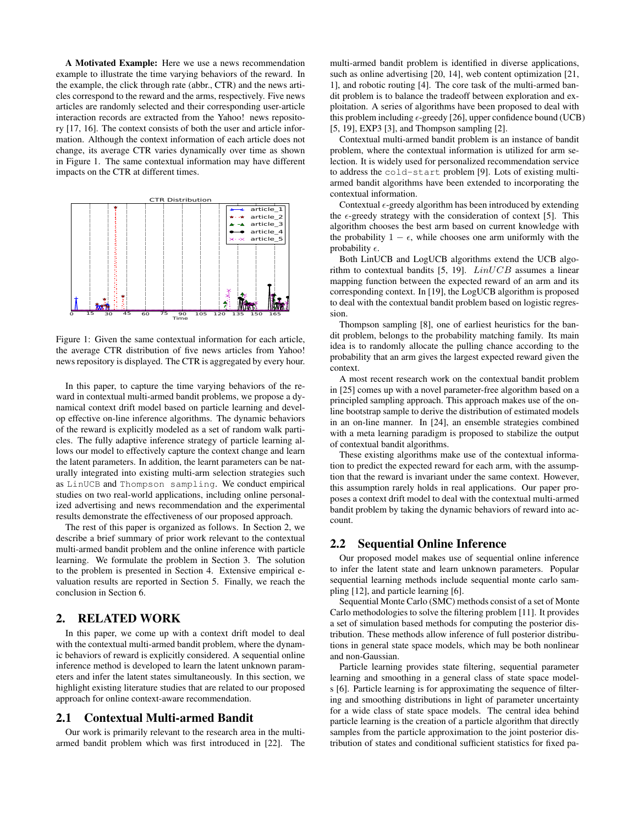A Motivated Example: Here we use a news recommendation example to illustrate the time varying behaviors of the reward. In the example, the click through rate (abbr., CTR) and the news articles correspond to the reward and the arms, respectively. Five news articles are randomly selected and their corresponding user-article interaction records are extracted from the Yahoo! news repository [17, 16]. The context consists of both the user and article information. Although the context information of each article does not change, its average CTR varies dynamically over time as shown in Figure 1. The same contextual information may have different impacts on the CTR at different times.



Figure 1: Given the same contextual information for each article, the average CTR distribution of five news articles from Yahoo! news repository is displayed. The CTR is aggregated by every hour.

In this paper, to capture the time varying behaviors of the reward in contextual multi-armed bandit problems, we propose a dynamical context drift model based on particle learning and develop effective on-line inference algorithms. The dynamic behaviors of the reward is explicitly modeled as a set of random walk particles. The fully adaptive inference strategy of particle learning allows our model to effectively capture the context change and learn the latent parameters. In addition, the learnt parameters can be naturally integrated into existing multi-arm selection strategies such as LinUCB and Thompson sampling. We conduct empirical studies on two real-world applications, including online personalized advertising and news recommendation and the experimental results demonstrate the effectiveness of our proposed approach.

The rest of this paper is organized as follows. In Section 2, we describe a brief summary of prior work relevant to the contextual multi-armed bandit problem and the online inference with particle learning. We formulate the problem in Section 3. The solution to the problem is presented in Section 4. Extensive empirical evaluation results are reported in Section 5. Finally, we reach the conclusion in Section 6.

# 2. RELATED WORK

In this paper, we come up with a context drift model to deal with the contextual multi-armed bandit problem, where the dynamic behaviors of reward is explicitly considered. A sequential online inference method is developed to learn the latent unknown parameters and infer the latent states simultaneously. In this section, we highlight existing literature studies that are related to our proposed approach for online context-aware recommendation.

#### 2.1 Contextual Multi-armed Bandit

Our work is primarily relevant to the research area in the multiarmed bandit problem which was first introduced in [22]. The multi-armed bandit problem is identified in diverse applications, such as online advertising [20, 14], web content optimization [21, 1], and robotic routing [4]. The core task of the multi-armed bandit problem is to balance the tradeoff between exploration and exploitation. A series of algorithms have been proposed to deal with this problem including  $\epsilon$ -greedy [26], upper confidence bound (UCB) [5, 19], EXP3 [3], and Thompson sampling [2].

Contextual multi-armed bandit problem is an instance of bandit problem, where the contextual information is utilized for arm selection. It is widely used for personalized recommendation service to address the cold-start problem [9]. Lots of existing multiarmed bandit algorithms have been extended to incorporating the contextual information.

Contextual *ϵ*-greedy algorithm has been introduced by extending the  $\epsilon$ -greedy strategy with the consideration of context [5]. This algorithm chooses the best arm based on current knowledge with the probability  $1 - \epsilon$ , while chooses one arm uniformly with the probability *ϵ*.

Both LinUCB and LogUCB algorithms extend the UCB algorithm to contextual bandits [5, 19]. *LinUCB* assumes a linear mapping function between the expected reward of an arm and its corresponding context. In [19], the LogUCB algorithm is proposed to deal with the contextual bandit problem based on logistic regression.

Thompson sampling [8], one of earliest heuristics for the bandit problem, belongs to the probability matching family. Its main idea is to randomly allocate the pulling chance according to the probability that an arm gives the largest expected reward given the context.

A most recent research work on the contextual bandit problem in [25] comes up with a novel parameter-free algorithm based on a principled sampling approach. This approach makes use of the online bootstrap sample to derive the distribution of estimated models in an on-line manner. In [24], an ensemble strategies combined with a meta learning paradigm is proposed to stabilize the output of contextual bandit algorithms.

These existing algorithms make use of the contextual information to predict the expected reward for each arm, with the assumption that the reward is invariant under the same context. However, this assumption rarely holds in real applications. Our paper proposes a context drift model to deal with the contextual multi-armed bandit problem by taking the dynamic behaviors of reward into account.

# 2.2 Sequential Online Inference

Our proposed model makes use of sequential online inference to infer the latent state and learn unknown parameters. Popular sequential learning methods include sequential monte carlo sampling [12], and particle learning [6].

Sequential Monte Carlo (SMC) methods consist of a set of Monte Carlo methodologies to solve the filtering problem [11]. It provides a set of simulation based methods for computing the posterior distribution. These methods allow inference of full posterior distributions in general state space models, which may be both nonlinear and non-Gaussian.

Particle learning provides state filtering, sequential parameter learning and smoothing in a general class of state space models [6]. Particle learning is for approximating the sequence of filtering and smoothing distributions in light of parameter uncertainty for a wide class of state space models. The central idea behind particle learning is the creation of a particle algorithm that directly samples from the particle approximation to the joint posterior distribution of states and conditional sufficient statistics for fixed pa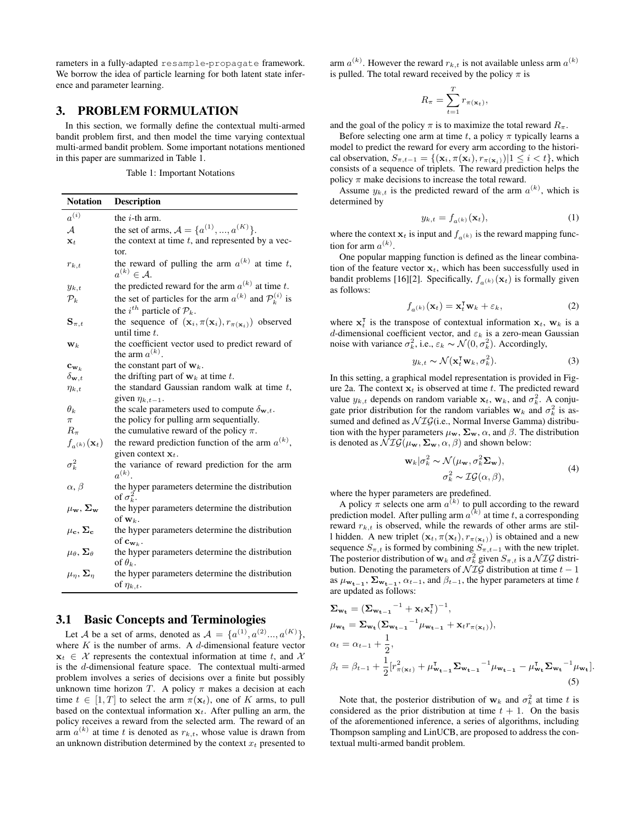rameters in a fully-adapted resample-propagate framework. We borrow the idea of particle learning for both latent state inference and parameter learning.

# 3. PROBLEM FORMULATION

In this section, we formally define the contextual multi-armed bandit problem first, and then model the time varying contextual multi-armed bandit problem. Some important notations mentioned in this paper are summarized in Table 1.

Table 1: Important Notations

| <b>Notation</b>                 | Description                                                                                             |
|---------------------------------|---------------------------------------------------------------------------------------------------------|
| $a^{(i)}$                       | the $i$ -th arm.                                                                                        |
| А                               | the set of arms, $A = \{a^{(1)}, , a^{(K)}\}.$                                                          |
| $\mathbf{x}_t$                  | the context at time $t$ , and represented by a vec-                                                     |
|                                 | tor.                                                                                                    |
| $r_{k,t}$                       | the reward of pulling the arm $a^{(k)}$ at time t,<br>$a^{(k)} \in \mathcal{A}.$                        |
| $y_{k,t}$                       | the predicted reward for the arm $a^{(k)}$ at time t.                                                   |
| $\mathcal{P}_k$                 | the set of particles for the arm $a^{(k)}$ and $\mathcal{P}_k^{(i)}$ is                                 |
|                                 | the $i^{th}$ particle of $\mathcal{P}_k$ .                                                              |
| $\mathbf{S}_{\pi,t}$            | the sequence of $(\mathbf{x}_i, \pi(\mathbf{x}_i), r_{\pi(\mathbf{x}_i)})$ observed<br>until time $t$ . |
| $\mathbf{w}_k$                  | the coefficient vector used to predict reward of<br>the arm $a^{(k)}$ .                                 |
| $\mathbf{c}_{\mathbf{w}_k}$     | the constant part of $w_k$ .                                                                            |
| $\delta_{\mathbf{w},t}$         | the drifting part of $w_k$ at time t.                                                                   |
| $\eta_{k,t}$                    | the standard Gaussian random walk at time $t$ ,                                                         |
|                                 | given $\eta_{k,t-1}$ .                                                                                  |
| $\theta_k$                      | the scale parameters used to compute $\delta_{\mathbf{w},t}$ .                                          |
| $\pi$                           | the policy for pulling arm sequentially.                                                                |
| $R_{\pi}$                       | the cumulative reward of the policy $\pi$ .                                                             |
| $f_{a^{(k)}}(\mathbf{x}_t)$     | the reward prediction function of the arm $a^{(k)}$ ,<br>given context $x_t$ .                          |
| $\sigma_k^2$                    | the variance of reward prediction for the arm<br>$a^{(k)}$                                              |
| $\alpha, \beta$                 | the hyper parameters determine the distribution<br>of $\sigma_k^2$ .                                    |
| $\mu_{\bf w}, \Sigma_{\bf w}$   | the hyper parameters determine the distribution                                                         |
|                                 | of $\mathbf{w}_k$ .                                                                                     |
| $\mu_{\rm c}, \Sigma_{\rm c}$   | the hyper parameters determine the distribution                                                         |
|                                 | of $\mathbf{c}_{\mathbf{w}_k}$ .                                                                        |
| $\mu_{\theta}, \Sigma_{\theta}$ | the hyper parameters determine the distribution<br>of $\theta_k$ .                                      |
| $\mu_n, \Sigma_n$               | the hyper parameters determine the distribution<br>of $\eta_{k,t}$ .                                    |

## 3.1 Basic Concepts and Terminologies

Let *A* be a set of arms, denoted as  $A = \{a^{(1)}, a^{(2)}..., a^{(K)}\},$ where *K* is the number of arms. A *d*-dimensional feature vector  $x_t \in \mathcal{X}$  represents the contextual information at time *t*, and  $\mathcal{X}$ is the *d*-dimensional feature space. The contextual multi-armed problem involves a series of decisions over a finite but possibly unknown time horizon *T*. A policy  $\pi$  makes a decision at each time  $t \in [1, T]$  to select the arm  $\pi(\mathbf{x}_t)$ , one of K arms, to pull based on the contextual information  $x_t$ . After pulling an arm, the policy receives a reward from the selected arm. The reward of an arm  $a^{(k)}$  at time *t* is denoted as  $r_{k,t}$ , whose value is drawn from an unknown distribution determined by the context  $x_t$  presented to

arm  $a^{(k)}$ . However the reward  $r_{k,t}$  is not available unless arm  $a^{(k)}$ is pulled. The total reward received by the policy  $\pi$  is

$$
R_{\pi} = \sum_{t=1}^{T} r_{\pi(\mathbf{x}_t)},
$$

and the goal of the policy  $\pi$  is to maximize the total reward  $R_{\pi}$ .

Before selecting one arm at time  $t$ , a policy  $\pi$  typically learns a model to predict the reward for every arm according to the historical observation,  $S_{\pi,t-1} = \{(\mathbf{x}_i, \pi(\mathbf{x}_i), r_{\pi(\mathbf{x}_i)})|1 \leq i < t\}$ , which consists of a sequence of triplets. The reward prediction helps the policy  $\pi$  make decisions to increase the total reward.

Assume  $y_{k,t}$  is the predicted reward of the arm  $a^{(k)}$ , which is determined by

$$
y_{k,t} = f_{a(k)}(\mathbf{x}_t),\tag{1}
$$

where the context  $\mathbf{x}_t$  is input and  $f_{a(k)}$  is the reward mapping function for arm  $a^{(k)}$ .

One popular mapping function is defined as the linear combination of the feature vector  $x_t$ , which has been successfully used in bandit problems [16][2]. Specifically,  $f_{a(k)}(\mathbf{x}_t)$  is formally given as follows:

$$
f_{a^{(k)}}(\mathbf{x}_t) = \mathbf{x}_t^{\mathsf{T}} \mathbf{w}_k + \varepsilon_k, \tag{2}
$$

where  $\mathbf{x}_t^{\mathsf{T}}$  is the transpose of contextual information  $\mathbf{x}_t$ ,  $\mathbf{w}_k$  is a *d*-dimensional coefficient vector, and  $\varepsilon_k$  is a zero-mean Gaussian noise with variance  $\sigma_k^2$ , i.e.,  $\varepsilon_k \sim \mathcal{N}(0, \sigma_k^2)$ . Accordingly,

$$
y_{k,t} \sim \mathcal{N}(\mathbf{x}_t^{\mathsf{T}} \mathbf{w}_k, \sigma_k^2). \tag{3}
$$

In this setting, a graphical model representation is provided in Figure 2a. The context  $x_t$  is observed at time  $t$ . The predicted reward value  $y_{k,t}$  depends on random variable  $\mathbf{x}_t$ ,  $\mathbf{w}_k$ , and  $\sigma_k^2$ . A conjugate prior distribution for the random variables  $w_k$  and  $\sigma_k^2$  is assumed and defined as  $NTG$ (i.e., Normal Inverse Gamma) distribution with the hyper parameters  $\mu_{\mathbf{w}}, \Sigma_{\mathbf{w}}, \alpha$ , and  $\beta$ . The distribution is denoted as  $NTG(\mu_{\bf w}, \Sigma_{\bf w}, \alpha, \beta)$  and shown below:

$$
\mathbf{w}_{k}|\sigma_{k}^{2} \sim \mathcal{N}(\mu_{\mathbf{w}}, \sigma_{k}^{2} \Sigma_{\mathbf{w}}),
$$
  
\n
$$
\sigma_{k}^{2} \sim \mathcal{IG}(\alpha, \beta),
$$
\n(4)

where the hyper parameters are predefined.

A policy  $\pi$  selects one arm  $a^{(k)}$  to pull according to the reward prediction model. After pulling arm  $a^{(k)}$  at time *t*, a corresponding reward  $r_{k,t}$  is observed, while the rewards of other arms are still hidden. A new triplet  $(\mathbf{x}_t, \pi(\mathbf{x}_t), r_{\pi(\mathbf{x}_t)})$  is obtained and a new sequence  $S_{\pi,t}$  is formed by combining  $S_{\pi,t-1}$  with the new triplet. The posterior distribution of  $w_k$  and  $\sigma_k^2$  given  $S_{\pi,t}$  is a  $\mathcal{NIG}$  distribution. Denoting the parameters of *N IG* distribution at time *t −* 1 as  $\mu_{\mathbf{w_{t-1}}}$ ,  $\Sigma_{\mathbf{w_{t-1}}}$ ,  $\alpha_{t-1}$ , and  $\beta_{t-1}$ , the hyper parameters at time *t* are updated as follows:

$$
\Sigma_{\mathbf{w_{t}}} = (\Sigma_{\mathbf{w_{t-1}}}^{-1} + \mathbf{x}_{t} \mathbf{x}_{t}^{\mathsf{T}})^{-1},
$$
  
\n
$$
\mu_{\mathbf{w_{t}}} = \Sigma_{\mathbf{w_{t}}} (\Sigma_{\mathbf{w_{t-1}}}^{-1} \mu_{\mathbf{w_{t-1}}} + \mathbf{x}_{t} r_{\pi(\mathbf{x}_{t})}),
$$
  
\n
$$
\alpha_{t} = \alpha_{t-1} + \frac{1}{2},
$$
  
\n
$$
\beta_{t} = \beta_{t-1} + \frac{1}{2} [r_{\pi(\mathbf{x}_{t})}^{2} + \mu_{\mathbf{w_{t-1}}}^{T} \Sigma_{\mathbf{w_{t-1}}}^{-1} \mu_{\mathbf{w_{t-1}}} - \mu_{\mathbf{w_{t}}}^{T} \Sigma_{\mathbf{w_{t}}}^{-1} \mu_{\mathbf{w_{t}}}].
$$
\n(5)

Note that, the posterior distribution of  $w_k$  and  $\sigma_k^2$  at time *t* is considered as the prior distribution at time  $t + 1$ . On the basis of the aforementioned inference, a series of algorithms, including Thompson sampling and LinUCB, are proposed to address the contextual multi-armed bandit problem.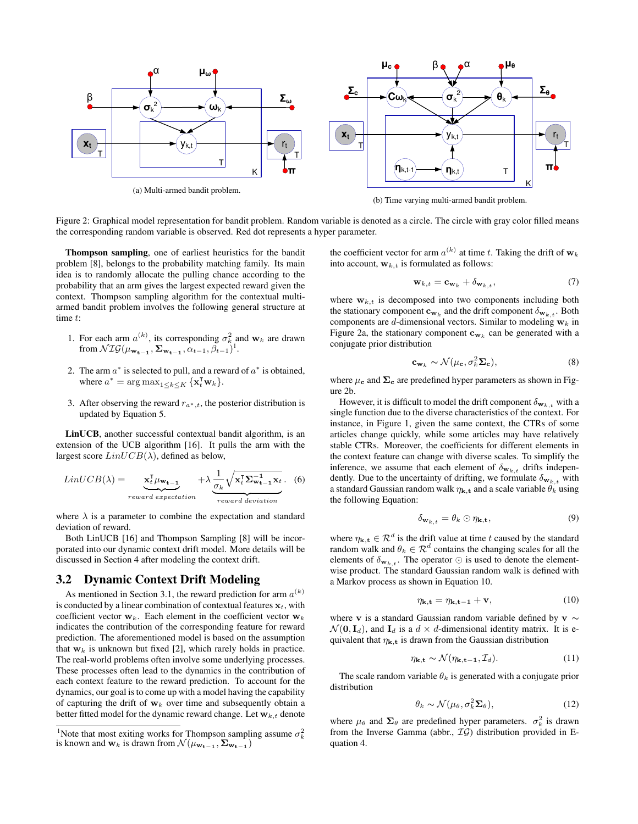

(b) Time varying multi-armed bandit problem.

Figure 2: Graphical model representation for bandit problem. Random variable is denoted as a circle. The circle with gray color filled means the corresponding random variable is observed. Red dot represents a hyper parameter.

Thompson sampling, one of earliest heuristics for the bandit problem [8], belongs to the probability matching family. Its main idea is to randomly allocate the pulling chance according to the probability that an arm gives the largest expected reward given the context. Thompson sampling algorithm for the contextual multiarmed bandit problem involves the following general structure at time *t*:

- 1. For each arm  $a^{(k)}$ , its corresponding  $\sigma_k^2$  and  $\mathbf{w}_k$  are drawn from  $\mathcal{NIG}(\mu_{\mathbf{w_{t-1}}}, \Sigma_{\mathbf{w_{t-1}}}, \alpha_{t-1}, \beta_{t-1})^{\text{l}}$ .
- 2. The arm  $a^*$  is selected to pull, and a reward of  $a^*$  is obtained, where  $a^* = \arg \max_{1 \leq k \leq K} {\mathbf{x}_t^{\mathsf{T}} \mathbf{w}_k}.$
- 3. After observing the reward  $r_{a^*,t}$ , the posterior distribution is updated by Equation 5.

LinUCB, another successful contextual bandit algorithm, is an extension of the UCB algorithm [16]. It pulls the arm with the largest score  $LinUCB(\lambda)$ , defined as below,

$$
LinUCB(\lambda) = \underbrace{\mathbf{x}_{t}^{\mathsf{T}} \mu_{\mathbf{w}_{t-1}}}_{reward\; expectation} + \lambda \underbrace{\frac{1}{\sigma_{k}} \sqrt{\mathbf{x}_{t}^{\mathsf{T}} \Sigma_{\mathbf{w}_{t-1}}^{-1} \mathbf{x}_{t}}}_{reward\; deviation}.
$$
 (6)

where  $\lambda$  is a parameter to combine the expectation and standard deviation of reward.

Both LinUCB [16] and Thompson Sampling [8] will be incorporated into our dynamic context drift model. More details will be discussed in Section 4 after modeling the context drift.

#### 3.2 Dynamic Context Drift Modeling

As mentioned in Section 3.1, the reward prediction for arm  $a^{(k)}$ is conducted by a linear combination of contextual features  $x_t$ , with coefficient vector  $\mathbf{w}_k$ . Each element in the coefficient vector  $\mathbf{w}_k$ indicates the contribution of the corresponding feature for reward prediction. The aforementioned model is based on the assumption that  $w_k$  is unknown but fixed [2], which rarely holds in practice. The real-world problems often involve some underlying processes. These processes often lead to the dynamics in the contribution of each context feature to the reward prediction. To account for the dynamics, our goal is to come up with a model having the capability of capturing the drift of  $w_k$  over time and subsequently obtain a better fitted model for the dynamic reward change. Let  $\mathbf{w}_{k,t}$  denote

the coefficient vector for arm  $a^{(k)}$  at time *t*. Taking the drift of  $w_k$ into account,  $\mathbf{w}_{k,t}$  is formulated as follows:

$$
\mathbf{w}_{k,t} = \mathbf{c}_{\mathbf{w}_k} + \delta_{\mathbf{w}_{k,t}},\tag{7}
$$

where  $w_{k,t}$  is decomposed into two components including both the stationary component  $\mathbf{c}_{\mathbf{w}_k}$  and the drift component  $\delta_{\mathbf{w}_{k,t}}$ . Both components are *d*-dimensional vectors. Similar to modeling  $\mathbf{w}_k$  in Figure 2a, the stationary component  $\mathbf{c}_{\mathbf{w}_k}$  can be generated with a conjugate prior distribution

$$
\mathbf{c}_{\mathbf{w}_k} \sim \mathcal{N}(\mu_{\mathbf{c}}, \sigma_k^2 \mathbf{\Sigma}_{\mathbf{c}}),\tag{8}
$$

where  $\mu_c$  and  $\Sigma_c$  are predefined hyper parameters as shown in Figure 2b.

However, it is difficult to model the drift component  $\delta_{\mathbf{w}_k,t}$  with a single function due to the diverse characteristics of the context. For instance, in Figure 1, given the same context, the CTRs of some articles change quickly, while some articles may have relatively stable CTRs. Moreover, the coefficients for different elements in the context feature can change with diverse scales. To simplify the inference, we assume that each element of  $\delta_{\mathbf{w}_{k,t}}$  drifts independently. Due to the uncertainty of drifting, we formulate  $\delta_{\mathbf{w}_{k,t}}$  with a standard Gaussian random walk  $\eta_{\mathbf{k},\mathbf{t}}$  and a scale variable  $\theta_k$  using the following Equation:

$$
\delta_{\mathbf{w}_{k,t}} = \theta_k \odot \eta_{\mathbf{k},\mathbf{t}},\tag{9}
$$

where  $\eta_{\mathbf{k},\mathbf{t}} \in \mathcal{R}^d$  is the drift value at time *t* caused by the standard random walk and  $\theta_k \in \mathcal{R}^d$  contains the changing scales for all the elements of  $\delta_{\mathbf{w}_{k,t}}$ . The operator  $\odot$  is used to denote the elementwise product. The standard Gaussian random walk is defined with a Markov process as shown in Equation 10.

$$
\eta_{\mathbf{k},\mathbf{t}} = \eta_{\mathbf{k},\mathbf{t}-\mathbf{1}} + \mathbf{v},\tag{10}
$$

where **v** is a standard Gaussian random variable defined by **v** ∼  $\mathcal{N}(\mathbf{0}, \mathbf{I}_d)$ , and  $\mathbf{I}_d$  is a  $d \times d$ -dimensional identity matrix. It is equivalent that  $\eta_{\mathbf{k},\mathbf{t}}$  is drawn from the Gaussian distribution

$$
\eta_{\mathbf{k},\mathbf{t}} \sim \mathcal{N}(\eta_{\mathbf{k},\mathbf{t}-\mathbf{1}}, \mathcal{I}_d). \tag{11}
$$

The scale random variable  $\theta_k$  is generated with a conjugate prior distribution

$$
\theta_k \sim \mathcal{N}(\mu_\theta, \sigma_k^2 \Sigma_\theta),\tag{12}
$$

where  $\mu_{\theta}$  and  $\Sigma_{\theta}$  are predefined hyper parameters.  $\sigma_k^2$  is drawn from the Inverse Gamma (abbr., *IG*) distribution provided in Equation 4.

<sup>&</sup>lt;sup>1</sup>Note that most exiting works for Thompson sampling assume  $\sigma_k^2$  is known and  $\mathbf{w}_k$  is drawn from  $\mathcal{N}(\mu_{\mathbf{w_{t-1}}}, \Sigma_{\mathbf{w_{t-1}}})$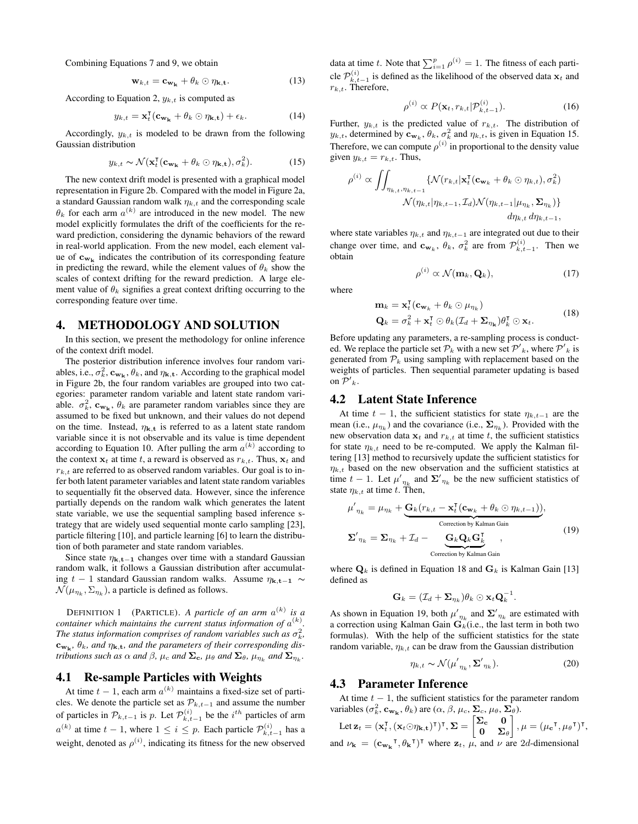Combining Equations 7 and 9, we obtain

$$
\mathbf{w}_{k,t} = \mathbf{c}_{\mathbf{w}_{\mathbf{k}}} + \theta_k \odot \eta_{\mathbf{k},\mathbf{t}}.
$$
 (13)

According to Equation 2,  $y_{k,t}$  is computed as

$$
y_{k,t} = \mathbf{x}_t^{\mathsf{T}}(\mathbf{c}_{\mathbf{w_k}} + \theta_k \odot \eta_{\mathbf{k},\mathbf{t}}) + \epsilon_k.
$$
 (14)

Accordingly,  $y_{k,t}$  is modeled to be drawn from the following Gaussian distribution

$$
y_{k,t} \sim \mathcal{N}(\mathbf{x}_t^{\mathsf{T}}(\mathbf{c}_{\mathbf{w_k}} + \theta_k \odot \eta_{\mathbf{k},\mathbf{t}}), \sigma_k^2). \tag{15}
$$

The new context drift model is presented with a graphical model representation in Figure 2b. Compared with the model in Figure 2a, a standard Gaussian random walk *ηk,t* and the corresponding scale  $\theta_k$  for each arm  $a^{(k)}$  are introduced in the new model. The new model explicitly formulates the drift of the coefficients for the reward prediction, considering the dynamic behaviors of the reward in real-world application. From the new model, each element value of **c<sup>w</sup><sup>k</sup>** indicates the contribution of its corresponding feature in predicting the reward, while the element values of  $\theta_k$  show the scales of context drifting for the reward prediction. A large element value of  $\theta_k$  signifies a great context drifting occurring to the corresponding feature over time.

# 4. METHODOLOGY AND SOLUTION

In this section, we present the methodology for online inference of the context drift model.

The posterior distribution inference involves four random variables, i.e.,  $\sigma_k^2$ ,  $\mathbf{c}_{\mathbf{w}_k}$ ,  $\theta_k$ , and  $\eta_{k,t}$ . According to the graphical model in Figure 2b, the four random variables are grouped into two categories: parameter random variable and latent state random variable.  $\sigma_k^2$ , **c**<sub>**wk**,  $\theta_k$  are parameter random variables since they are</sub> assumed to be fixed but unknown, and their values do not depend on the time. Instead,  $\eta_{\mathbf{k},\mathbf{t}}$  is referred to as a latent state random variable since it is not observable and its value is time dependent according to Equation 10. After pulling the arm  $a^{(k)}$  according to the context  $\mathbf{x}_t$  at time *t*, a reward is observed as  $r_{k,t}$ . Thus,  $\mathbf{x}_t$  and  $r_{k,t}$  are referred to as observed random variables. Our goal is to infer both latent parameter variables and latent state random variables to sequentially fit the observed data. However, since the inference partially depends on the random walk which generates the latent state variable, we use the sequential sampling based inference strategy that are widely used sequential monte carlo sampling [23], particle filtering [10], and particle learning [6] to learn the distribution of both parameter and state random variables.

Since state  $\eta_{\mathbf{k},\mathbf{t}-\mathbf{1}}$  changes over time with a standard Gaussian random walk, it follows a Gaussian distribution after accumulating  $t - 1$  standard Gaussian random walks. Assume  $\eta_{k,t-1} \sim$  $\mathcal{N}(\mu_{\eta_k}, \Sigma_{\eta_k})$ , a particle is defined as follows.

DEFINITION 1 (PARTICLE). *A particle of an arm*  $a^{(k)}$  *is a container which maintains the current status information of*  $a^{(k)}$ . *The status information comprises of random variables such as*  $\sigma_k^2$ ,  $\mathbf{c}_{\mathbf{w}_k}$ ,  $\theta_k$ , and  $\eta_{\mathbf{k},\mathbf{t}}$ , and the parameters of their corresponding distributions such as  $\alpha$  and  $\beta$ ,  $\mu_c$  and  $\mathbf{\Sigma_c},$   $\mu_\theta$  and  $\mathbf{\Sigma_\theta},$   $\mu_{\eta_k}$  and  $\mathbf{\Sigma_{\eta_k}}.$ 

# 4.1 Re-sample Particles with Weights

At time *t −* 1, each arm *a* (*k*) maintains a fixed-size set of particles. We denote the particle set as  $\mathcal{P}_{k,t-1}$  and assume the number of particles in  $\mathcal{P}_{k,t-1}$  is *p*. Let  $\mathcal{P}_{k,t-1}^{(i)}$  be the *i*<sup>th</sup> particles of arm *a*<sup>(*k*)</sup> at time *t* − 1, where  $1 \leq i \leq p$ . Each particle  $\mathcal{P}_{k,t-1}^{(i)}$  has a weight, denoted as  $\rho^{(i)}$ , indicating its fitness for the new observed

data at time *t*. Note that  $\sum_{i=1}^{p} \rho^{(i)} = 1$ . The fitness of each particle  $\mathcal{P}_{k,t-1}^{(i)}$  is defined as the likelihood of the observed data **x**<sub>t</sub> and *rk,t*. Therefore,

$$
\rho^{(i)} \propto P(\mathbf{x}_t, r_{k,t} | \mathcal{P}_{k,t-1}^{(i)}). \tag{16}
$$

Further,  $y_{k,t}$  is the predicted value of  $r_{k,t}$ . The distribution of  $y_{k,t}$ , determined by  $\mathbf{c}_{\mathbf{w}_k}$ ,  $\theta_k$ ,  $\sigma_k^2$  and  $\eta_{k,t}$ , is given in Equation 15. Therefore, we can compute  $\rho^{(i)}$  in proportional to the density value given  $y_{k,t} = r_{k,t}$ . Thus,

$$
\rho^{(i)} \propto \iiint_{\eta_{k,t},\eta_{k,t-1}} \{\mathcal{N}(r_{k,t}|\mathbf{x}_t^{\mathsf{T}}(\mathbf{c}_{\mathbf{w}_k} + \theta_k \odot \eta_{k,t}), \sigma_k^2) \newline \mathcal{N}(\eta_{k,t}|\eta_{k,t-1}, \mathcal{I}_d)\mathcal{N}(\eta_{k,t-1}|\mu_{\eta_k}, \Sigma_{\eta_k})\} \newline d\eta_{k,t} d\eta_{k,t-1},
$$

where state variables  $\eta_{k,t}$  and  $\eta_{k,t-1}$  are integrated out due to their change over time, and  $\mathbf{c}_{\mathbf{w}_k}$ ,  $\theta_k$ ,  $\sigma_k^2$  are from  $\mathcal{P}_{k,t-1}^{(i)}$ . Then we obtain

$$
\rho^{(i)} \propto \mathcal{N}(\mathbf{m}_k, \mathbf{Q}_k),\tag{17}
$$

where

$$
\mathbf{m}_{k} = \mathbf{x}_{t}^{\mathsf{T}}(\mathbf{c}_{\mathbf{w}_{k}} + \theta_{k} \odot \mu_{\eta_{k}})
$$
  
\n
$$
\mathbf{Q}_{k} = \sigma_{k}^{2} + \mathbf{x}_{t}^{\mathsf{T}} \odot \theta_{k} (\mathcal{I}_{d} + \mathbf{\Sigma}_{\eta_{k}}) \theta_{k}^{\mathsf{T}} \odot \mathbf{x}_{t}.
$$
\n(18)

Before updating any parameters, a re-sampling process is conducted. We replace the particle set  $\mathcal{P}_k$  with a new set  $\mathcal{P'}_k$ , where  $\mathcal{P'}_k$  is generated from  $P_k$  using sampling with replacement based on the weights of particles. Then sequential parameter updating is based on  $\mathcal{P}'_k$ .

## 4.2 Latent State Inference

At time  $t - 1$ , the sufficient statistics for state  $\eta_{k,t-1}$  are the mean (i.e.,  $\mu_{\eta_k}$ ) and the covariance (i.e.,  $\Sigma_{\eta_k}$ ). Provided with the new observation data  $x_t$  and  $r_{k,t}$  at time *t*, the sufficient statistics for state  $\eta_{k,t}$  need to be re-computed. We apply the Kalman filtering [13] method to recursively update the sufficient statistics for  $\eta_{k,t}$  based on the new observation and the sufficient statistics at time  $t - 1$ . Let  $\mu'_{\eta_k}$  and  $\Sigma'_{\eta_k}$  be the new sufficient statistics of state  $\eta_{k,t}$  at time *t*. Then,

$$
\mu'_{\eta_k} = \mu_{\eta_k} + \underbrace{\mathbf{G}_k(r_{k,t} - \mathbf{x}_t^{\mathsf{T}}(\mathbf{c}_{\mathbf{w}_k} + \theta_k \odot \eta_{k,t-1}))}_{\text{Correction by Kalman Gain}},
$$
\n
$$
\Sigma'_{\eta_k} = \Sigma_{\eta_k} + \mathcal{I}_d - \underbrace{\mathbf{G}_k \mathbf{Q}_k \mathbf{G}_k^{\mathsf{T}}}_{\text{Correction by Kalman Gain}},
$$
\n(19)

where  $\mathbf{Q}_k$  is defined in Equation 18 and  $\mathbf{G}_k$  is Kalman Gain [13] defined as

$$
\mathbf{G}_k = (\mathcal{I}_d + \mathbf{\Sigma}_{\eta_k}) \theta_k \odot \mathbf{x}_t \mathbf{Q}_k^{-1}.
$$

As shown in Equation 19, both  $\mu'_{n_k}$  and  $\Sigma'_{n_k}$  are estimated with a correction using Kalman Gain  $\mathbf{G}_k^{\prime\prime}$  (i.e., the last term in both two formulas). With the help of the sufficient statistics for the state random variable,  $\eta_{k,t}$  can be draw from the Gaussian distribution

$$
\eta_{k,t} \sim \mathcal{N}(\mu'_{\eta_k}, \Sigma'_{\eta_k}).\tag{20}
$$

## 4.3 Parameter Inference

At time *t −* 1, the sufficient statistics for the parameter random variables  $(\sigma_k^2, \mathbf{c}_{\mathbf{w}_k}, \theta_k)$  are  $(\alpha, \beta, \mu_c, \mathbf{\Sigma}_c, \mu_\theta, \mathbf{\Sigma}_\theta)$ .

Let 
$$
\mathbf{z}_t = (\mathbf{x}_t^{\mathsf{T}}, (\mathbf{x}_t \odot \eta_{\mathbf{k},t})^{\mathsf{T}})^{\mathsf{T}}, \Sigma = \begin{bmatrix} \Sigma_c & \mathbf{0} \\ \mathbf{0} & \Sigma_\theta \end{bmatrix}, \mu = (\mu_c^{\mathsf{T}}, \mu_\theta^{\mathsf{T}})^{\mathsf{T}},
$$
  
and  $\nu_{\mathbf{k}} = (\mathbf{c}_{\mathbf{w}_{\mathbf{k}}}^{\mathsf{T}}, \theta_{\mathbf{k}}^{\mathsf{T}})^{\mathsf{T}}$  where  $\mathbf{z}_t$ ,  $\mu$ , and  $\nu$  are 2*d*-dimensional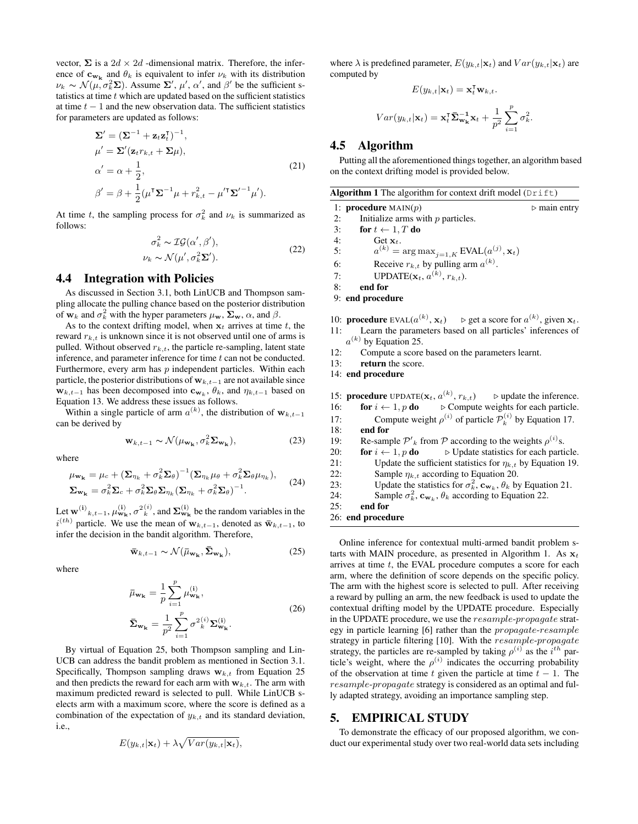vector,  $\Sigma$  is a  $2d \times 2d$  -dimensional matrix. Therefore, the inference of  $\mathbf{c}_{\mathbf{w}_k}$  and  $\theta_k$  is equivalent to infer  $\nu_k$  with its distribution  $\nu_k \sim \mathcal{N}(\mu, \sigma_k^2 \Sigma)$ . Assume  $\Sigma'$ ,  $\mu'$ ,  $\alpha'$ , and  $\beta'$  be the sufficient statistics at time *t* which are updated based on the sufficient statistics at time *t −* 1 and the new observation data. The sufficient statistics for parameters are updated as follows:

$$
\Sigma' = (\Sigma^{-1} + \mathbf{z}_t \mathbf{z}_t^{\mathsf{T}})^{-1},
$$
  
\n
$$
\mu' = \Sigma' (\mathbf{z}_t r_{k,t} + \Sigma \mu),
$$
  
\n
$$
\alpha' = \alpha + \frac{1}{2},
$$
  
\n
$$
\beta' = \beta + \frac{1}{2} (\mu^{\mathsf{T}} \Sigma^{-1} \mu + r_{k,t}^2 - \mu'^{\mathsf{T}} \Sigma'^{-1} \mu').
$$
\n(21)

At time *t*, the sampling process for  $\sigma_k^2$  and  $\nu_k$  is summarized as follows:

$$
\sigma_k^2 \sim \mathcal{IG}(\alpha', \beta'),
$$
  
\n
$$
\nu_k \sim \mathcal{N}(\mu', \sigma_k^2 \Sigma').
$$
\n(22)

# 4.4 Integration with Policies

As discussed in Section 3.1, both LinUCB and Thompson sampling allocate the pulling chance based on the posterior distribution of  $\mathbf{w}_k$  and  $\sigma_k^2$  with the hyper parameters  $\mu_\mathbf{w}, \Sigma_\mathbf{w}, \alpha$ , and  $\beta$ .

As to the context drifting model, when  $x_t$  arrives at time  $t$ , the reward  $r_{k,t}$  is unknown since it is not observed until one of arms is pulled. Without observed  $r_{k,t}$ , the particle re-sampling, latent state inference, and parameter inference for time *t* can not be conducted. Furthermore, every arm has *p* independent particles. Within each particle, the posterior distributions of **w***k,t−*<sup>1</sup> are not available since **w**<sub>*k*</sub>, *t*−1 has been decomposed into  $\mathbf{c}_{\mathbf{w}_k}$ ,  $\theta_k$ , and  $\eta_{k,t-1}$  based on Equation 13. We address these issues as follows.

Within a single particle of arm  $a^{(k)}$ , the distribution of  $w_{k,t-1}$ can be derived by

$$
\mathbf{w}_{k,t-1} \sim \mathcal{N}(\mu_{\mathbf{w}_{k}}, \sigma_k^2 \Sigma_{\mathbf{w}_{k}}),
$$
 (23)

where

$$
\mu_{\mathbf{w}_{\mathbf{k}}} = \mu_c + (\Sigma_{\eta_k} + \sigma_k^2 \Sigma_{\theta})^{-1} (\Sigma_{\eta_k} \mu_{\theta} + \sigma_k^2 \Sigma_{\theta} \mu_{\eta_k}),
$$
  

$$
\Sigma_{\mathbf{w}_{\mathbf{k}}} = \sigma_k^2 \Sigma_c + \sigma_k^2 \Sigma_{\theta} \Sigma_{\eta_k} (\Sigma_{\eta_k} + \sigma_k^2 \Sigma_{\theta})^{-1}.
$$
 (24)

Let  $\mathbf{w}^{(i)}_{k,t-1}, \mu^{(i)}_{\mathbf{w}_k}, \sigma^{2}^{(i)}_{k}$ , and  $\mathbf{\Sigma}_{\mathbf{w}_k}^{(i)}$  be the random variables in the  $i^{(th)}$  particle. We use the mean of  $\mathbf{w}_{k,t-1}$ , denoted as  $\bar{\mathbf{w}}_{k,t-1}$ , to infer the decision in the bandit algorithm. Therefore,

$$
\bar{\mathbf{w}}_{k,t-1} \sim \mathcal{N}(\bar{\mu}_{\mathbf{w}_{k}}, \bar{\Sigma}_{\mathbf{w}_{k}}), \qquad (25)
$$

where

$$
\bar{\mu}_{\mathbf{w}_{\mathbf{k}}} = \frac{1}{p} \sum_{i=1}^{p} \mu_{\mathbf{w}_{\mathbf{k}}}^{(i)},
$$
\n
$$
\bar{\mathbf{\Sigma}}_{\mathbf{w}_{\mathbf{k}}} = \frac{1}{p^2} \sum_{i=1}^{p} \sigma_{k}^{2(i)} \mathbf{\Sigma}_{\mathbf{w}_{\mathbf{k}}}^{(i)}.
$$
\n(26)

By virtual of Equation 25, both Thompson sampling and Lin-UCB can address the bandit problem as mentioned in Section 3.1. Specifically, Thompson sampling draws  $w_{k,t}$  from Equation 25 and then predicts the reward for each arm with  $w_{k,t}$ . The arm with maximum predicted reward is selected to pull. While LinUCB selects arm with a maximum score, where the score is defined as a combination of the expectation of  $y_{k,t}$  and its standard deviation, i.e.,

$$
E(y_{k,t}|\mathbf{x}_t) + \lambda \sqrt{Var(y_{k,t}|\mathbf{x}_t)},
$$

where  $\lambda$  is predefined parameter,  $E(y_{k,t}|\mathbf{x}_t)$  and  $Var(y_{k,t}|\mathbf{x}_t)$  are computed by

$$
E(y_{k,t}|\mathbf{x}_t) = \mathbf{x}_t^{\mathsf{T}} \mathbf{w}_{k,t}.
$$

$$
Var(y_{k,t}|\mathbf{x}_t) = \mathbf{x}_t^{\mathsf{T}} \mathbf{\bar{\Sigma}_{w_k}^{-1}} \mathbf{x}_t + \frac{1}{p^2} \sum_{i=1}^p \sigma_k^2.
$$

# 4.5 Algorithm

Putting all the aforementioned things together, an algorithm based on the context drifting model is provided below.

|  |  | Algorithm 1 The algorithm for context drift model (Drift) |  |
|--|--|-----------------------------------------------------------|--|
|--|--|-----------------------------------------------------------|--|

1: **procedure** MAIN $(p)$   $\triangleright$  main entry

2: Initialize arms with *p* particles.

3: for  $t \leftarrow 1, T$  do

4: Get **x***t*.

5: *a*  $(k)$  = arg max<sub>j=1,K</sub> EVAL( $a^{(j)}$ , **x**<sub>t</sub>)

6: Receive  $r_{k,t}$  by pulling arm  $a^{(k)}$ .

7: **UPDATE(** $\mathbf{x}_t$ ,  $a^{(k)}$ ,  $r_{k,t}$ ).

8: end for

9: end procedure

10: **procedure** EVAL( $a^{(k)}$ ,  $\mathbf{x}_t$ )  $\Rightarrow$  get a score for  $a^{(k)}$ , given  $\mathbf{x}_t$ .

11: Learn the parameters based on all particles' inferences of  $a^{(k)}$  by Equation 25.

12: Compute a score based on the parameters learnt.

13: return the score.

14: end procedure

15: **procedure** UPDATE $(\mathbf{x}_t, a^{(k)})$  $\rhd$  update the inference.

16: **for**  $i \leftarrow 1, p$  **do**  $\triangleright$  Compute weights for each particle.

17: Compute weight  $\rho^{(i)}$  of particle  $\mathcal{P}_k^{(i)}$  by Equation 17.

18: end for

19: Re-sample  $\mathcal{P}'_k$  from  $\mathcal P$  according to the weights  $\rho^{(i)}$ s.

20: **for**  $i \leftarrow 1, p$  **do**  $\triangleright$  Update statistics for each particle.<br>21: Update the sufficient statistics for  $m_{i}$  + by Equation 19.

21: Update the sufficient statistics for  $\eta_{k,t}$  by Equation 19.<br>22: Sample  $n_{k,t}$  according to Equation 20. Sample  $\eta_{k,t}$  according to Equation 20.

23: Update the statistics for  $\sigma_k^2$ ,  $\mathbf{c}_{\mathbf{w}_k}$ ,  $\theta_k$  by Equation 21.

24: Sample 
$$
\sigma_k^2
$$
,  $\mathbf{c}_{\mathbf{w}_k}$ ,  $\theta_k$  according to Equation 22.

25: end for

26: end procedure

Online inference for contextual multi-armed bandit problem starts with MAIN procedure, as presented in Algorithm 1. As  $x_t$ arrives at time *t*, the EVAL procedure computes a score for each arm, where the definition of score depends on the specific policy. The arm with the highest score is selected to pull. After receiving a reward by pulling an arm, the new feedback is used to update the contextual drifting model by the UPDATE procedure. Especially in the UPDATE procedure, we use the *resample*-*propagate* strategy in particle learning [6] rather than the *propagate*-*resample* strategy in particle filtering [10]. With the *resample*-*propagate* strategy, the particles are re-sampled by taking  $\rho^{(i)}$  as the *i*<sup>th</sup> particle's weight, where the  $\rho^{(i)}$  indicates the occurring probability of the observation at time  $t$  given the particle at time  $t - 1$ . The *resample*-*propagate* strategy is considered as an optimal and fully adapted strategy, avoiding an importance sampling step.

# 5. EMPIRICAL STUDY

To demonstrate the efficacy of our proposed algorithm, we conduct our experimental study over two real-world data sets including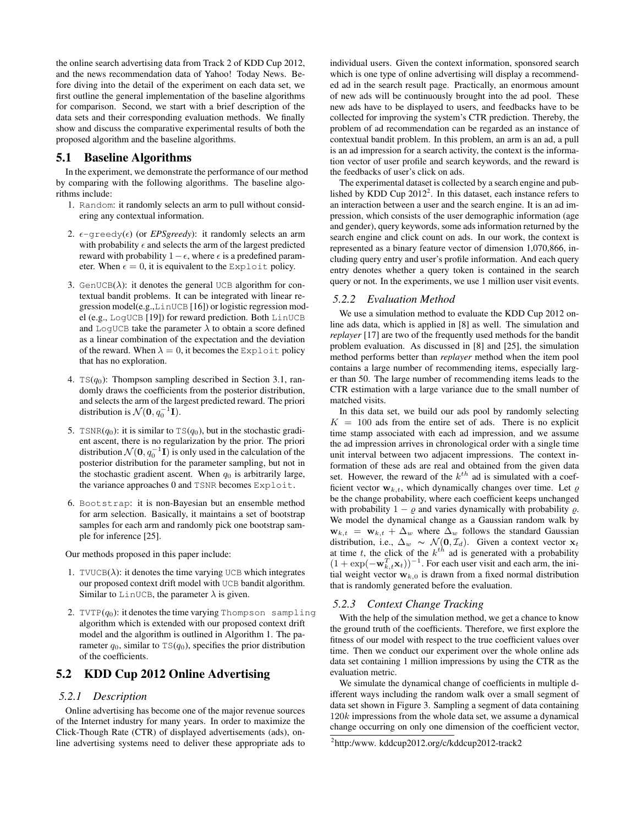the online search advertising data from Track 2 of KDD Cup 2012, and the news recommendation data of Yahoo! Today News. Before diving into the detail of the experiment on each data set, we first outline the general implementation of the baseline algorithms for comparison. Second, we start with a brief description of the data sets and their corresponding evaluation methods. We finally show and discuss the comparative experimental results of both the proposed algorithm and the baseline algorithms.

# 5.1 Baseline Algorithms

In the experiment, we demonstrate the performance of our method by comparing with the following algorithms. The baseline algorithms include:

- 1. Random: it randomly selects an arm to pull without considering any contextual information.
- 2.  $\epsilon$ -greedy( $\epsilon$ ) (or *EPSgreedy*): it randomly selects an arm with probability  $\epsilon$  and selects the arm of the largest predicted reward with probability  $1 - \epsilon$ , where  $\epsilon$  is a predefined parameter. When  $\epsilon = 0$ , it is equivalent to the Exploit policy.
- 3. GenUCB $(\lambda)$ : it denotes the general UCB algorithm for contextual bandit problems. It can be integrated with linear regression model(e.g.,LinUCB [16]) or logistic regression model (e.g., LogUCB [19]) for reward prediction. Both LinUCB and LogUCB take the parameter  $\lambda$  to obtain a score defined as a linear combination of the expectation and the deviation of the reward. When  $\lambda = 0$ , it becomes the Exploit policy that has no exploration.
- 4.  $TS(q_0)$ : Thompson sampling described in Section 3.1, randomly draws the coefficients from the posterior distribution, and selects the arm of the largest predicted reward. The priori distribution is  $\mathcal{N}(\mathbf{0}, q_0^{-1}\mathbf{I})$ .
- 5. TSNR $(q_0)$ : it is similar to TS $(q_0)$ , but in the stochastic gradient ascent, there is no regularization by the prior. The priori distribution  $\mathcal{N}(\mathbf{0}, q_0^{-1}\mathbf{I})$  is only used in the calculation of the posterior distribution for the parameter sampling, but not in the stochastic gradient ascent. When  $q_0$  is arbitrarily large, the variance approaches 0 and TSNR becomes Exploit.
- 6. Bootstrap: it is non-Bayesian but an ensemble method for arm selection. Basically, it maintains a set of bootstrap samples for each arm and randomly pick one bootstrap sample for inference [25].

Our methods proposed in this paper include:

- 1. TVUCB( $\lambda$ ): it denotes the time varying UCB which integrates our proposed context drift model with UCB bandit algorithm. Similar to LinUCB, the parameter  $\lambda$  is given.
- 2. TVTP $(q_0)$ : it denotes the time varying Thompson sampling algorithm which is extended with our proposed context drift model and the algorithm is outlined in Algorithm 1. The parameter  $q_0$ , similar to  $TS(q_0)$ , specifies the prior distribution of the coefficients.

# 5.2 KDD Cup 2012 Online Advertising

#### *5.2.1 Description*

Online advertising has become one of the major revenue sources of the Internet industry for many years. In order to maximize the Click-Though Rate (CTR) of displayed advertisements (ads), online advertising systems need to deliver these appropriate ads to

individual users. Given the context information, sponsored search which is one type of online advertising will display a recommended ad in the search result page. Practically, an enormous amount of new ads will be continuously brought into the ad pool. These new ads have to be displayed to users, and feedbacks have to be collected for improving the system's CTR prediction. Thereby, the problem of ad recommendation can be regarded as an instance of contextual bandit problem. In this problem, an arm is an ad, a pull is an ad impression for a search activity, the context is the information vector of user profile and search keywords, and the reward is the feedbacks of user's click on ads.

The experimental dataset is collected by a search engine and published by KDD Cup  $2012^2$ . In this dataset, each instance refers to an interaction between a user and the search engine. It is an ad impression, which consists of the user demographic information (age and gender), query keywords, some ads information returned by the search engine and click count on ads. In our work, the context is represented as a binary feature vector of dimension 1,070,866, including query entry and user's profile information. And each query entry denotes whether a query token is contained in the search query or not. In the experiments, we use 1 million user visit events.

#### *5.2.2 Evaluation Method*

We use a simulation method to evaluate the KDD Cup 2012 online ads data, which is applied in [8] as well. The simulation and *replayer* [17] are two of the frequently used methods for the bandit problem evaluation. As discussed in [8] and [25], the simulation method performs better than *replayer* method when the item pool contains a large number of recommending items, especially larger than 50. The large number of recommending items leads to the CTR estimation with a large variance due to the small number of matched visits.

In this data set, we build our ads pool by randomly selecting  $K = 100$  ads from the entire set of ads. There is no explicit time stamp associated with each ad impression, and we assume the ad impression arrives in chronological order with a single time unit interval between two adjacent impressions. The context information of these ads are real and obtained from the given data set. However, the reward of the *k th* ad is simulated with a coefficient vector  $\mathbf{w}_{k,t}$ , which dynamically changes over time. Let  $\rho$ be the change probability, where each coefficient keeps unchanged with probability  $1 - \varrho$  and varies dynamically with probability  $\varrho$ . We model the dynamical change as a Gaussian random walk by  $\mathbf{w}_{k,t} = \mathbf{w}_{k,t} + \Delta_w$  where  $\Delta_w$  follows the standard Gaussian distribution, i.e.,  $\Delta_w \sim \mathcal{N}(\mathbf{0}, \mathcal{I}_d)$ . Given a context vector  $\mathbf{x}_t$ at time  $t$ , the click of the  $k^{th}$  ad is generated with a probability  $(1 + \exp(-\mathbf{w}_{k,t}^T \mathbf{x}_t))^{-1}$ . For each user visit and each arm, the initial weight vector  $w_{k,0}$  is drawn from a fixed normal distribution that is randomly generated before the evaluation.

## *5.2.3 Context Change Tracking*

With the help of the simulation method, we get a chance to know the ground truth of the coefficients. Therefore, we first explore the fitness of our model with respect to the true coefficient values over time. Then we conduct our experiment over the whole online ads data set containing 1 million impressions by using the CTR as the evaluation metric.

We simulate the dynamical change of coefficients in multiple different ways including the random walk over a small segment of data set shown in Figure 3. Sampling a segment of data containing 120*k* impressions from the whole data set, we assume a dynamical change occurring on only one dimension of the coefficient vector,

<sup>&</sup>lt;sup>2</sup>http:/www. kddcup2012.org/c/kddcup2012-track2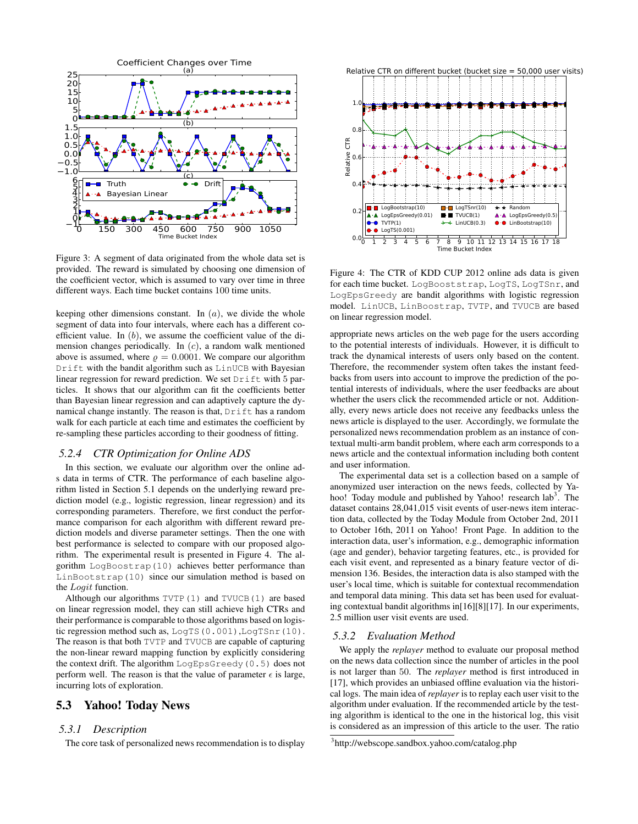

Figure 3: A segment of data originated from the whole data set is provided. The reward is simulated by choosing one dimension of the coefficient vector, which is assumed to vary over time in three different ways. Each time bucket contains 100 time units.

keeping other dimensions constant. In (*a*), we divide the whole segment of data into four intervals, where each has a different coefficient value. In (*b*), we assume the coefficient value of the dimension changes periodically. In (*c*), a random walk mentioned above is assumed, where  $\rho = 0.0001$ . We compare our algorithm Drift with the bandit algorithm such as LinUCB with Bayesian linear regression for reward prediction. We set Drift with 5 particles. It shows that our algorithm can fit the coefficients better than Bayesian linear regression and can adaptively capture the dynamical change instantly. The reason is that, Drift has a random walk for each particle at each time and estimates the coefficient by re-sampling these particles according to their goodness of fitting.

#### *5.2.4 CTR Optimization for Online ADS*

In this section, we evaluate our algorithm over the online ads data in terms of CTR. The performance of each baseline algorithm listed in Section 5.1 depends on the underlying reward prediction model (e.g., logistic regression, linear regression) and its corresponding parameters. Therefore, we first conduct the performance comparison for each algorithm with different reward prediction models and diverse parameter settings. Then the one with best performance is selected to compare with our proposed algorithm. The experimental result is presented in Figure 4. The algorithm LogBoostrap(10) achieves better performance than LinBootstrap(10) since our simulation method is based on the *Logit* function.

Although our algorithms TVTP(1) and TVUCB(1) are based on linear regression model, they can still achieve high CTRs and their performance is comparable to those algorithms based on logistic regression method such as, LogTS(0.001),LogTSnr(10). The reason is that both TVTP and TVUCB are capable of capturing the non-linear reward mapping function by explicitly considering the context drift. The algorithm LogEpsGreedy(0.5) does not perform well. The reason is that the value of parameter  $\epsilon$  is large, incurring lots of exploration.

# 5.3 Yahoo! Today News

#### *5.3.1 Description*

The core task of personalized news recommendation is to display



Figure 4: The CTR of KDD CUP 2012 online ads data is given for each time bucket. LogBooststrap, LogTS, LogTSnr, and LogEpsGreedy are bandit algorithms with logistic regression model. LinUCB, LinBoostrap, TVTP, and TVUCB are based on linear regression model.

appropriate news articles on the web page for the users according to the potential interests of individuals. However, it is difficult to track the dynamical interests of users only based on the content. Therefore, the recommender system often takes the instant feedbacks from users into account to improve the prediction of the potential interests of individuals, where the user feedbacks are about whether the users click the recommended article or not. Additionally, every news article does not receive any feedbacks unless the news article is displayed to the user. Accordingly, we formulate the personalized news recommendation problem as an instance of contextual multi-arm bandit problem, where each arm corresponds to a news article and the contextual information including both content and user information.

The experimental data set is a collection based on a sample of anonymized user interaction on the news feeds, collected by Yahoo! Today module and published by Yahoo! research lab<sup>3</sup>. The dataset contains 28,041,015 visit events of user-news item interaction data, collected by the Today Module from October 2nd, 2011 to October 16th, 2011 on Yahoo! Front Page. In addition to the interaction data, user's information, e.g., demographic information (age and gender), behavior targeting features, etc., is provided for each visit event, and represented as a binary feature vector of dimension 136. Besides, the interaction data is also stamped with the user's local time, which is suitable for contextual recommendation and temporal data mining. This data set has been used for evaluating contextual bandit algorithms in[16][8][17]. In our experiments, 2.5 million user visit events are used.

#### *5.3.2 Evaluation Method*

We apply the *replayer* method to evaluate our proposal method on the news data collection since the number of articles in the pool is not larger than 50. The *replayer* method is first introduced in [17], which provides an unbiased offline evaluation via the historical logs. The main idea of *replayer* is to replay each user visit to the algorithm under evaluation. If the recommended article by the testing algorithm is identical to the one in the historical log, this visit is considered as an impression of this article to the user. The ratio

<sup>3</sup> http://webscope.sandbox.yahoo.com/catalog.php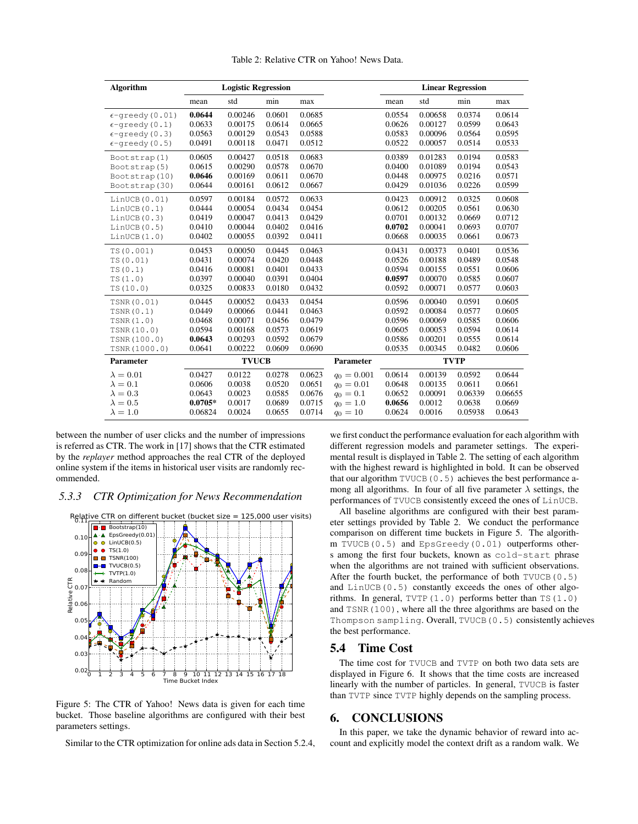| <b>Algorithm</b>          | <b>Logistic Regression</b> |         |                  |        | <b>Linear Regression</b> |        |         |         |         |
|---------------------------|----------------------------|---------|------------------|--------|--------------------------|--------|---------|---------|---------|
|                           | mean                       | std     | min              | max    |                          | mean   | std     | min     | max     |
| $\epsilon$ -greedy (0.01) | 0.0644                     | 0.00246 | 0.0601           | 0.0685 |                          | 0.0554 | 0.00658 | 0.0374  | 0.0614  |
| $\epsilon$ -greedy (0.1)  | 0.0633                     | 0.00175 | 0.0614           | 0.0665 |                          | 0.0626 | 0.00127 | 0.0599  | 0.0643  |
| $\epsilon$ -greedy (0.3)  | 0.0563                     | 0.00129 | 0.0543           | 0.0588 |                          | 0.0583 | 0.00096 | 0.0564  | 0.0595  |
| $\epsilon$ -greedy (0.5)  | 0.0491                     | 0.00118 | 0.0471           | 0.0512 |                          | 0.0522 | 0.00057 | 0.0514  | 0.0533  |
| Bootstrap(1)              | 0.0605                     | 0.00427 | 0.0518           | 0.0683 |                          | 0.0389 | 0.01283 | 0.0194  | 0.0583  |
| Bootstrap(5)              | 0.0615                     | 0.00290 | 0.0578           | 0.0670 |                          | 0.0400 | 0.01089 | 0.0194  | 0.0543  |
| Bootstrap(10)             | 0.0646                     | 0.00169 | 0.0611           | 0.0670 |                          | 0.0448 | 0.00975 | 0.0216  | 0.0571  |
| Bootstrap(30)             | 0.0644                     | 0.00161 | 0.0612           | 0.0667 |                          | 0.0429 | 0.01036 | 0.0226  | 0.0599  |
| LinUCB(0.01)              | 0.0597                     | 0.00184 | 0.0572           | 0.0633 |                          | 0.0423 | 0.00912 | 0.0325  | 0.0608  |
| LinUCB(0.1)               | 0.0444                     | 0.00054 | 0.0434           | 0.0454 |                          | 0.0612 | 0.00205 | 0.0561  | 0.0630  |
| LinUCB(0.3)               | 0.0419                     | 0.00047 | 0.0413           | 0.0429 |                          | 0.0701 | 0.00132 | 0.0669  | 0.0712  |
| LinUCB(0.5)               | 0.0410                     | 0.00044 | 0.0402           | 0.0416 |                          | 0.0702 | 0.00041 | 0.0693  | 0.0707  |
| LinUCB(1.0)               | 0.0402                     | 0.00055 | 0.0392           | 0.0411 |                          | 0.0668 | 0.00035 | 0.0661  | 0.0673  |
| TS(0.001)                 | 0.0453                     | 0.00050 | 0.0445           | 0.0463 |                          | 0.0431 | 0.00373 | 0.0401  | 0.0536  |
| TS(0.01)                  | 0.0431                     | 0.00074 | 0.0420           | 0.0448 |                          | 0.0526 | 0.00188 | 0.0489  | 0.0548  |
| TS(0.1)                   | 0.0416                     | 0.00081 | 0.0401           | 0.0433 |                          | 0.0594 | 0.00155 | 0.0551  | 0.0606  |
| TS(1.0)                   | 0.0397                     | 0.00040 | 0.0391           | 0.0404 |                          | 0.0597 | 0.00070 | 0.0585  | 0.0607  |
| TS(10.0)                  | 0.0325                     | 0.00833 | 0.0180           | 0.0432 |                          | 0.0592 | 0.00071 | 0.0577  | 0.0603  |
| TSNR (0.01)               | 0.0445                     | 0.00052 | 0.0433           | 0.0454 |                          | 0.0596 | 0.00040 | 0.0591  | 0.0605  |
| TSNR (0.1)                | 0.0449                     | 0.00066 | 0.0441           | 0.0463 |                          | 0.0592 | 0.00084 | 0.0577  | 0.0605  |
| TSNR(1.0)                 | 0.0468                     | 0.00071 | 0.0456           | 0.0479 |                          | 0.0596 | 0.00069 | 0.0585  | 0.0606  |
| TSNR (10.0)               | 0.0594                     | 0.00168 | 0.0573           | 0.0619 |                          | 0.0605 | 0.00053 | 0.0594  | 0.0614  |
| TSNR (100.0)              | 0.0643                     | 0.00293 | 0.0592           | 0.0679 |                          | 0.0586 | 0.00201 | 0.0555  | 0.0614  |
| TSNR (1000.0)             | 0.0641                     | 0.00222 | 0.0609           | 0.0690 |                          | 0.0535 | 0.00345 | 0.0482  | 0.0606  |
| <b>Parameter</b>          | <b>TVUCB</b>               |         | <b>Parameter</b> |        | <b>TVTP</b>              |        |         |         |         |
| $\lambda = 0.01$          | 0.0427                     | 0.0122  | 0.0278           | 0.0623 | $q_0 = 0.001$            | 0.0614 | 0.00139 | 0.0592  | 0.0644  |
| $\lambda = 0.1$           | 0.0606                     | 0.0038  | 0.0520           | 0.0651 | $q_0 = 0.01$             | 0.0648 | 0.00135 | 0.0611  | 0.0661  |
| $\lambda = 0.3$           | 0.0643                     | 0.0023  | 0.0585           | 0.0676 | $q_0 = 0.1$              | 0.0652 | 0.00091 | 0.06339 | 0.06655 |
| $\lambda = 0.5$           | $0.0705*$                  | 0.0017  | 0.0689           | 0.0715 | $q_0 = 1.0$              | 0.0656 | 0.0012  | 0.0638  | 0.0669  |
| $\lambda = 1.0$           | 0.06824                    | 0.0024  | 0.0655           | 0.0714 | $q_0 = 10$               | 0.0624 | 0.0016  | 0.05938 | 0.0643  |

Table 2: Relative CTR on Yahoo! News Data.

between the number of user clicks and the number of impressions is referred as CTR. The work in [17] shows that the CTR estimated by the *replayer* method approaches the real CTR of the deployed online system if the items in historical user visits are randomly recommended.

#### *5.3.3 CTR Optimization for News Recommendation*





Figure 5: The CTR of Yahoo! News data is given for each time bucket. Those baseline algorithms are configured with their best parameters settings.

Similar to the CTR optimization for online ads data in Section 5.2.4,

we first conduct the performance evaluation for each algorithm with different regression models and parameter settings. The experimental result is displayed in Table 2. The setting of each algorithm with the highest reward is highlighted in bold. It can be observed that our algorithm TVUCB(0.5) achieves the best performance among all algorithms. In four of all five parameter  $\lambda$  settings, the performances of TVUCB consistently exceed the ones of LinUCB.

All baseline algorithms are configured with their best parameter settings provided by Table 2. We conduct the performance comparison on different time buckets in Figure 5. The algorithm TVUCB(0.5) and EpsGreedy(0.01) outperforms others among the first four buckets, known as cold-start phrase when the algorithms are not trained with sufficient observations. After the fourth bucket, the performance of both TVUCB(0.5) and LinUCB(0.5) constantly exceeds the ones of other algorithms. In general,  $T V T P (1.0)$  performs better than TS(1.0) and TSNR(100), where all the three algorithms are based on the Thompson sampling. Overall, TVUCB(0.5) consistently achieves the best performance.

#### 5.4 Time Cost

The time cost for TVUCB and TVTP on both two data sets are displayed in Figure 6. It shows that the time costs are increased linearly with the number of particles. In general, TVUCB is faster than TVTP since TVTP highly depends on the sampling process.

# 6. CONCLUSIONS

In this paper, we take the dynamic behavior of reward into account and explicitly model the context drift as a random walk. We